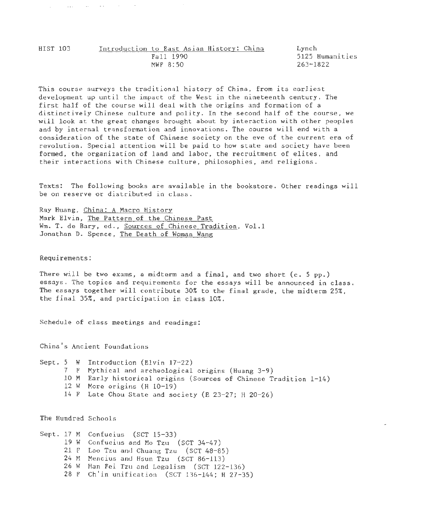$\sim$   $\sim$   $\sim$ 

and the state

Lynch 5125 Humanities 263-1822

This course surveys the traditional history of China, from its earliest development up until the impact of the West in the nineteenth century. The first half of the course will deal with the origins and formation of a distinctively Chinese culture and polity. In the second half of the course, we will look at the great changes brought about by interaction with other peoples and by internal transformation and innovations. The course will end with a consideration of the state of Chinese society on the eve of the current era of revolution. Special attention will be paid to how state and society have been formed, the organization of land and labor, the recruitment of elites, and their interactions with Chinese culture, philosophies, and religions.

Texts: The following books are available in the bookstore. Other readings will be on reserve or distributed in class.

Ray Huang, China: A Macro History Mark Elvin, The Pattern of the Chinese Past Wm. T. de Bary, ed., Sources of Chinese Tradition, Vol.1 Jonathan D. Spence, The Death of Woman Wang

Requirements:

There will be two exams, a midterm and a final, and two short (c. 5 pp.) essays. The topics and requirements for the essays will be announced in class. The essays together will contribute 30% to the final grade, the midterm 25%, the final 35%, and participation in class 10%.

Schedule of class meetings and readings:

China's Ancient Foundations

Sept. 5 W Introduction (Elvin 17-22) 7 F Mythical and archeological origins (Huang 3-9) 10 M Early historical origins (Sources of Chinese Tradition 1-14) 12 w More origins (H 10-19) 14 F Late Chou State and society (E 23-27; H 20-26)

The Hundred Schools

Sept. 17 M Confucius (SCT 15-33) 19 w Confucius and Mo Tzu (SCT 34-47) 21 F Lao Tzu and Chuang Tzu (SCT 48-85) 24 M Mencius and Hsun Tzu (SCT 86-113) 26 w Han Fei Tzu and Legalism (SCT 122-136) 28 F Ch'in unification (SCT 136-144; H 27-35)